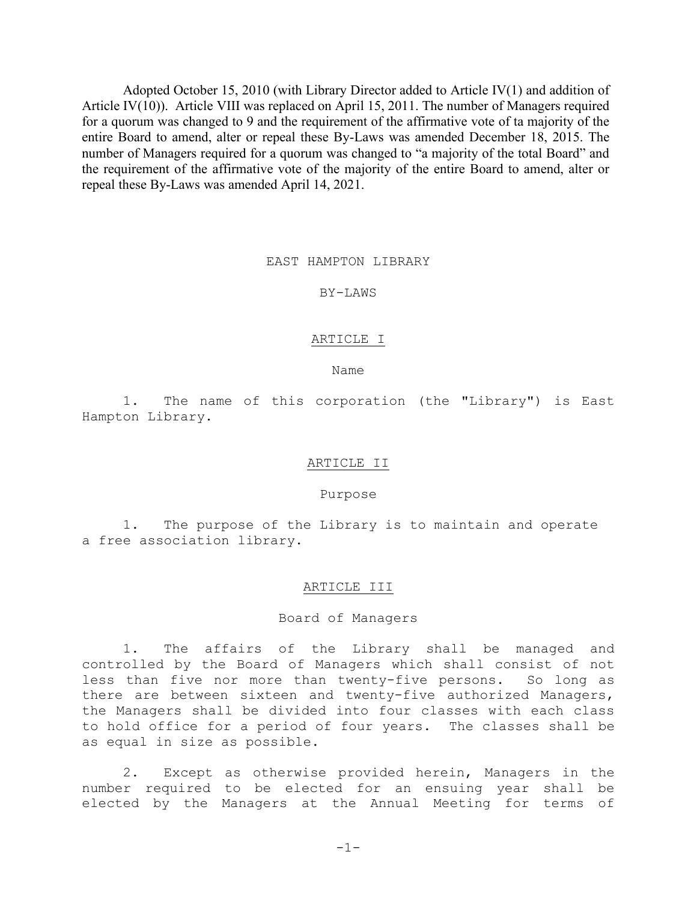Adopted October 15, 2010 (with Library Director added to Article IV(1) and addition of Article IV(10)). Article VIII was replaced on April 15, 2011. The number of Managers required for a quorum was changed to 9 and the requirement of the affirmative vote of ta majority of the entire Board to amend, alter or repeal these By-Laws was amended December 18, 2015. The number of Managers required for a quorum was changed to "a majority of the total Board" and the requirement of the affirmative vote of the majority of the entire Board to amend, alter or repeal these By-Laws was amended April 14, 2021.

EAST HAMPTON LIBRARY

BY-LAWS

## ARTICLE I

Name

1. The name of this corporation (the "Library") is East Hampton Library.

## ARTICLE II

#### Purpose

1. The purpose of the Library is to maintain and operate a free association library.

#### ARTICLE III

### Board of Managers

1. The affairs of the Library shall be managed and controlled by the Board of Managers which shall consist of not less than five nor more than twenty-five persons. So long as there are between sixteen and twenty-five authorized Managers, the Managers shall be divided into four classes with each class to hold office for a period of four years. The classes shall be as equal in size as possible.

2. Except as otherwise provided herein, Managers in the<br>r required to be elected for an ensuing vear shall be number required to be elected for an ensuing year shall elected by the Managers at the Annual Meeting for terms of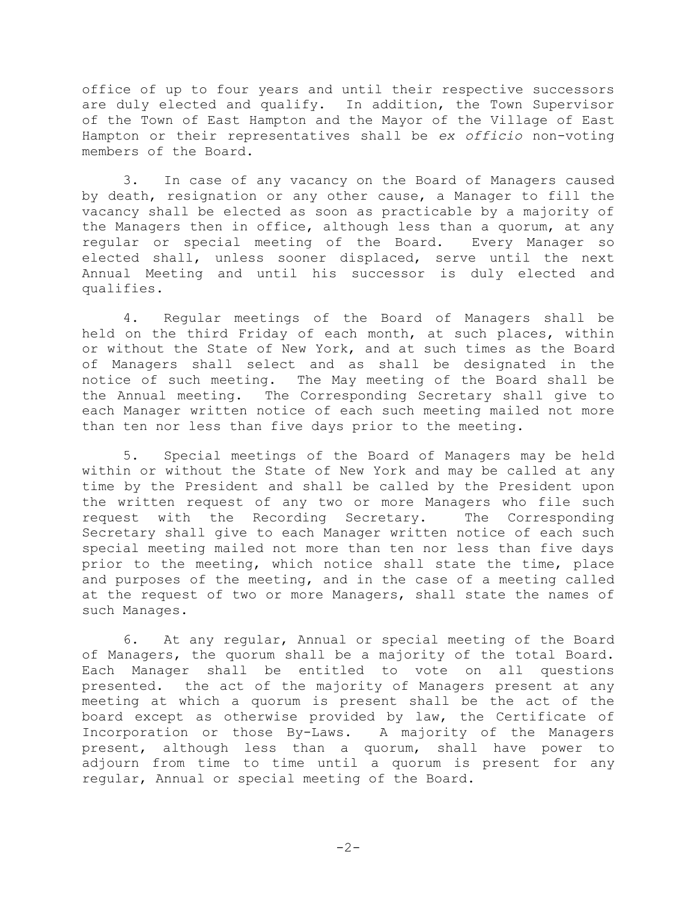office of up to four years and until their respective successors are duly elected and qualify. In addition, the Town Supervisor of the Town of East Hampton and the Mayor of the Village of East Hampton or their representatives shall be *ex officio* non-voting members of the Board.

3. In case of any vacancy on the Board of Managers caused by death, resignation or any other cause, a Manager to fill the vacancy shall be elected as soon as practicable by a majority of the Managers then in office, although less than a quorum, at any regular or special meeting of the Board. Every Manager so elected shall, unless sooner displaced, serve until the next Annual Meeting and until his successor is duly elected and qualifies.

4. Regular meetings of the Board of Managers shall be held on the third Friday of each month, at such places, within or without the State of New York, and at such times as the Board of Managers shall select and as shall be designated in the notice of such meeting. The May meeting of the Board shall be the Annual meeting. The Corresponding Secretary shall give to each Manager written notice of each such meeting mailed not more than ten nor less than five days prior to the meeting.

5. Special meetings of the Board of Managers may be held within or without the State of New York and may be called at any time by the President and shall be called by the President upon the written request of any two or more Managers who file such<br>request with the Recording Secretary. The Corresponding request with the Recording Secretary. Secretary shall give to each Manager written notice of each such special meeting mailed not more than ten nor less than five days prior to the meeting, which notice shall state the time, place and purposes of the meeting, and in the case of a meeting called at the request of two or more Managers, shall state the names of such Manages.

6. At any regular, Annual or special meeting of the Board of Managers, the quorum shall be a majority of the total Board. Each Manager shall be entitled to vote on all questions presented. the act of the majority of Managers present at any meeting at which a quorum is present shall be the act of the board except as otherwise provided by law, the Certificate of Incorporation or those By-Laws. A majority of the Managers present, although less than a quorum, shall have power to adjourn from time to time until a quorum is present for any regular, Annual or special meeting of the Board.

 $-2-$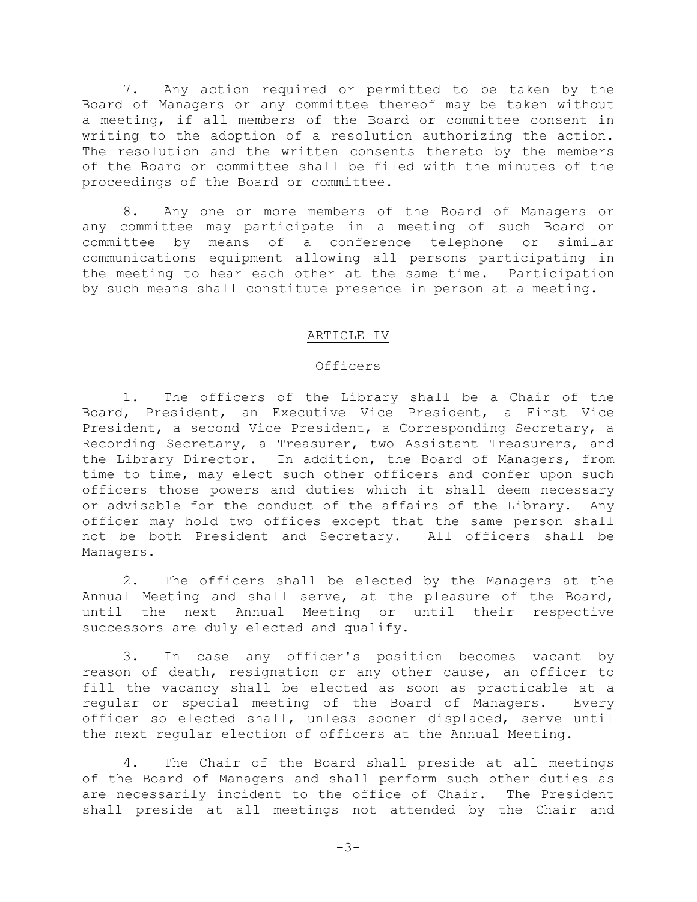7. Any action required or permitted to be taken by the Board of Managers or any committee thereof may be taken without a meeting, if all members of the Board or committee consent in writing to the adoption of a resolution authorizing the action. The resolution and the written consents thereto by the members of the Board or committee shall be filed with the minutes of the proceedings of the Board or committee.

8. Any one or more members of the Board of Managers or any committee may participate in a meeting of such Board or committee by means of a conference telephone or similar communications equipment allowing all persons participating in the meeting to hear each other at the same time. Participation by such means shall constitute presence in person at a meeting.

## ARTICLE IV

# Officers

1. The officers of the Library shall be a Chair of the Board, President, an Executive Vice President, a First Vice President, a second Vice President, a Corresponding Secretary, a Recording Secretary, a Treasurer, two Assistant Treasurers, and the Library Director. In addition, the Board of Managers, from time to time, may elect such other officers and confer upon such officers those powers and duties which it shall deem necessary or advisable for the conduct of the affairs of the Library. Any officer may hold two offices except that the same person shall not be both President and Secretary. All officers shall be Managers.

2. The officers shall be elected by the Managers at the Annual Meeting and shall serve, at the pleasure of the Board, until the next Annual Meeting or until their respective successors are duly elected and qualify.

3. In case any officer's position becomes vacant by reason of death, resignation or any other cause, an officer to fill the vacancy shall be elected as soon as practicable at a regular or special meeting of the Board of Managers. Every officer so elected shall, unless sooner displaced, serve until the next regular election of officers at the Annual Meeting.

4. The Chair of the Board shall preside at all meetings of the Board of Managers and shall perform such other duties as are necessarily incident to the office of Chair. The President shall preside at all meetings not attended by the Chair and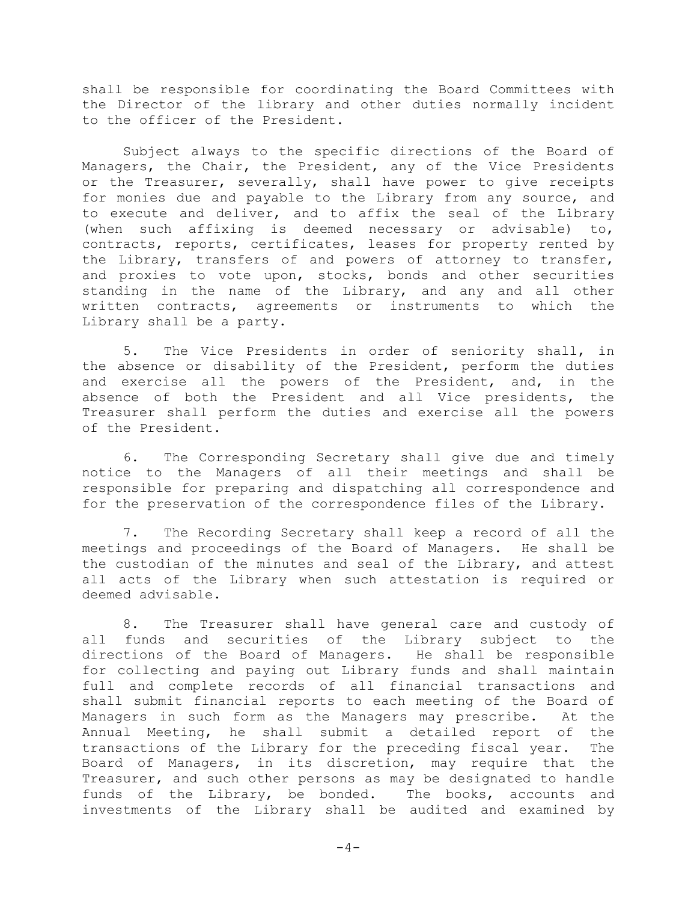shall be responsible for coordinating the Board Committees with the Director of the library and other duties normally incident to the officer of the President.

Subject always to the specific directions of the Board of Managers, the Chair, the President, any of the Vice Presidents or the Treasurer, severally, shall have power to give receipts for monies due and payable to the Library from any source, and to execute and deliver, and to affix the seal of the Library (when such affixing is deemed necessary or advisable) to, contracts, reports, certificates, leases for property rented by the Library, transfers of and powers of attorney to transfer, and proxies to vote upon, stocks, bonds and other securities standing in the name of the Library, and any and all other written contracts, agreements or instruments to which the Library shall be a party.

5. The Vice Presidents in order of seniority shall, in the absence or disability of the President, perform the duties and exercise all the powers of the President, and, in the absence of both the President and all Vice presidents, the Treasurer shall perform the duties and exercise all the powers of the President.

6. The Corresponding Secretary shall give due and timely notice to the Managers of all their meetings and shall be responsible for preparing and dispatching all correspondence and for the preservation of the correspondence files of the Library.

7. The Recording Secretary shall keep a record of all the meetings and proceedings of the Board of Managers. He shall be the custodian of the minutes and seal of the Library, and attest all acts of the Library when such attestation is required or deemed advisable.

8. The Treasurer shall have general care and custody of all funds and securities of the Library subject to the directions of the Board of Managers. He shall be responsible for collecting and paying out Library funds and shall maintain full and complete records of all financial transactions and shall submit financial reports to each meeting of the Board of Managers in such form as the Managers may prescribe. At the Annual Meeting, he shall submit a detailed report of the<br>transactions of the Library for the preceding fiscal year. The transactions of the Library for the preceding fiscal year. Board of Managers, in its discretion, may require that the Treasurer, and such other persons as may be designated to handle funds of the Library, be bonded. The books, accounts and investments of the Library shall be audited and examined by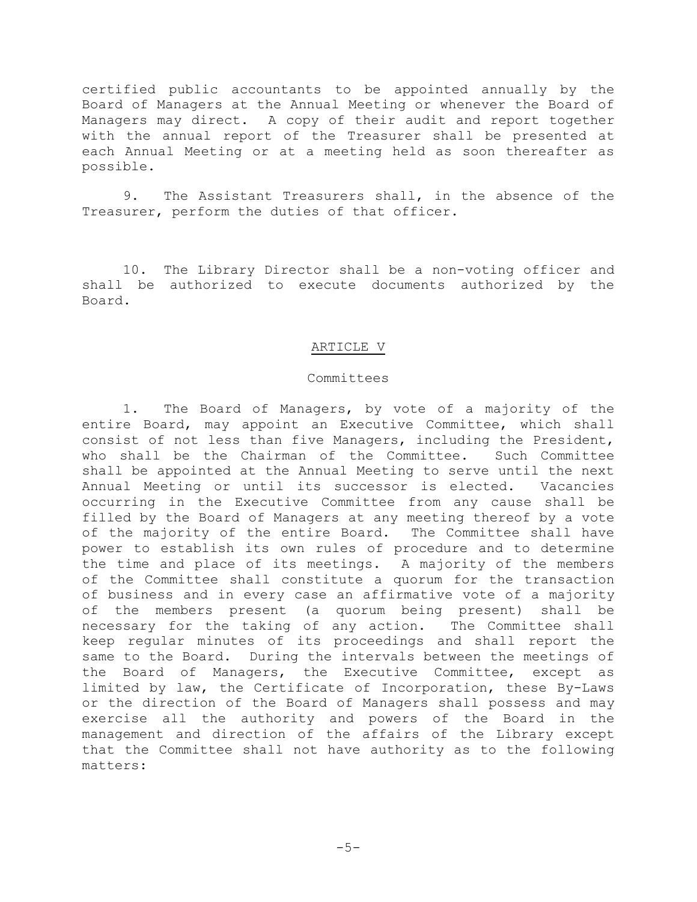certified public accountants to be appointed annually by the Board of Managers at the Annual Meeting or whenever the Board of Managers may direct. A copy of their audit and report together with the annual report of the Treasurer shall be presented at each Annual Meeting or at a meeting held as soon thereafter as possible.

9. The Assistant Treasurers shall, in the absence of the Treasurer, perform the duties of that officer.

10. The Library Director shall be a non-voting officer and shall be authorized to execute documents authorized by the Board.

# ARTICLE V

## Committees

1. The Board of Managers, by vote of a majority of the entire Board, may appoint an Executive Committee, which shall consist of not less than five Managers, including the President, who shall be the Chairman of the Committee. Such Committee shall be appointed at the Annual Meeting to serve until the next Annual Meeting or until its successor is elected. Vacancies occurring in the Executive Committee from any cause shall be filled by the Board of Managers at any meeting thereof by a vote of the majority of the entire Board. The Committee shall have power to establish its own rules of procedure and to determine the time and place of its meetings. A majority of the members of the Committee shall constitute a quorum for the transaction of business and in every case an affirmative vote of a majority of the members present (a quorum being present) shall be necessary for the taking of any action. The Committee shall keep regular minutes of its proceedings and shall report the same to the Board. During the intervals between the meetings of the Board of Managers, the Executive Committee, except as limited by law, the Certificate of Incorporation, these By-Laws or the direction of the Board of Managers shall possess and may exercise all the authority and powers of the Board in the management and direction of the affairs of the Library except that the Committee shall not have authority as to the following matters: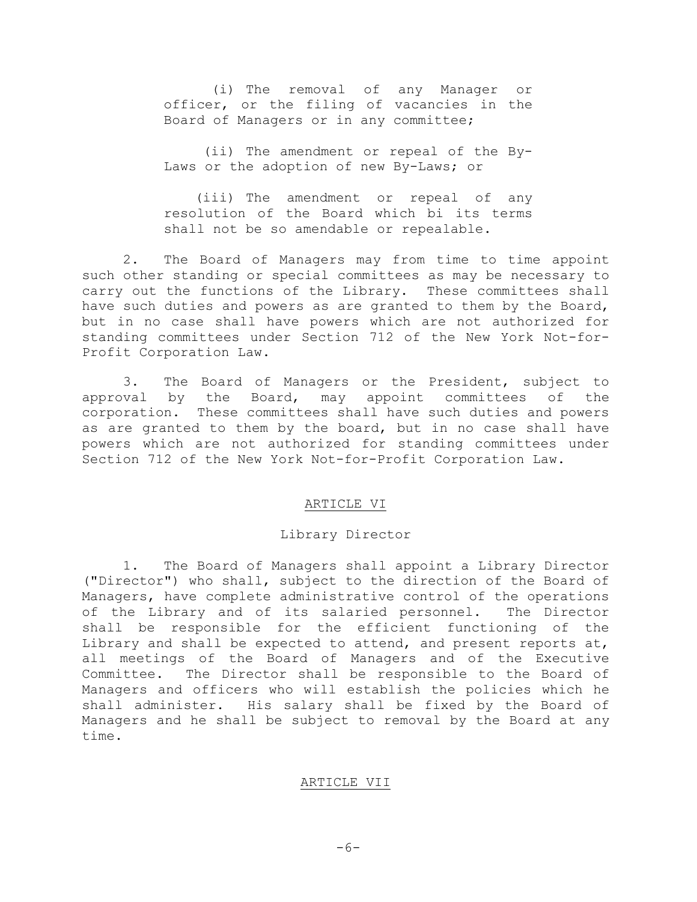(i) The removal of any Manager or officer, or the filing of vacancies in the Board of Managers or in any committee;

(ii) The amendment or repeal of the By-Laws or the adoption of new By-Laws; or

(iii) The amendment or repeal of any resolution of the Board which bi its terms shall not be so amendable or repealable.

2. The Board of Managers may from time to time appoint such other standing or special committees as may be necessary to carry out the functions of the Library. These committees shall have such duties and powers as are granted to them by the Board, but in no case shall have powers which are not authorized for standing committees under Section 712 of the New York Not-for-Profit Corporation Law.

3. The Board of Managers or the President, subject to approval by the Board, may appoint committees of the corporation. These committees shall have such duties and powers as are granted to them by the board, but in no case shall have powers which are not authorized for standing committees under Section 712 of the New York Not-for-Profit Corporation Law.

# ARTICLE VI

### Library Director

1. The Board of Managers shall appoint a Library Director ("Director") who shall, subject to the direction of the Board of Managers, have complete administrative control of the operations<br>of the Library and of its salaried personnel. The Director of the Library and of its salaried personnel. shall be responsible for the efficient functioning of the Library and shall be expected to attend, and present reports at, all meetings of the Board of Managers and of the Executive Committee. The Director shall be responsible to the Board of Managers and officers who will establish the policies which he shall administer. His salary shall be fixed by the Board of Managers and he shall be subject to removal by the Board at any time.

#### ARTICLE VII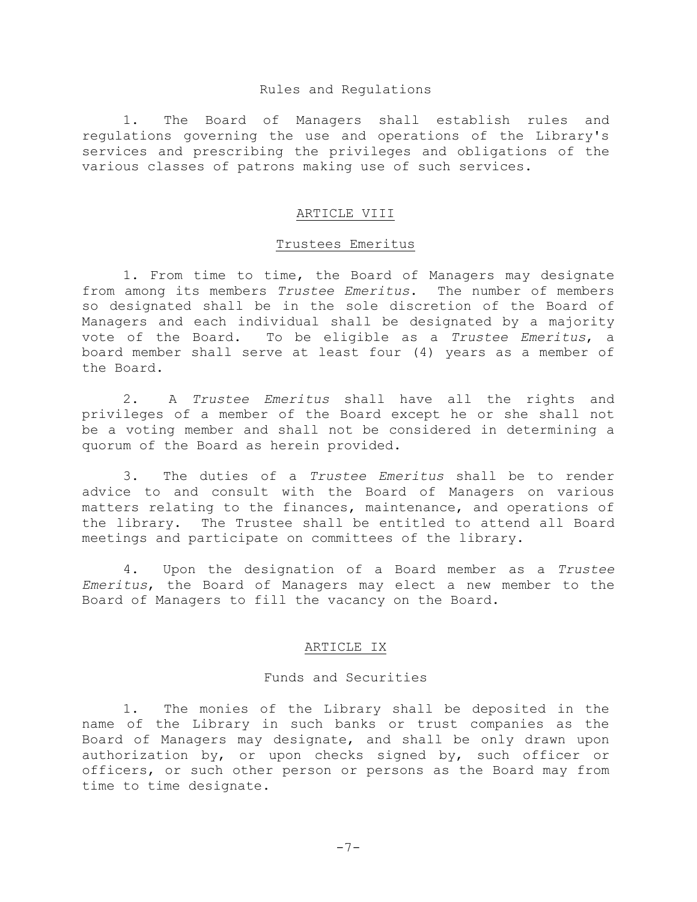#### Rules and Regulations

1. The Board of Managers shall establish rules and regulations governing the use and operations of the Library's services and prescribing the privileges and obligations of the various classes of patrons making use of such services.

## ARTICLE VIII

## Trustees Emeritus

1. From time to time, the Board of Managers may designate from among its members *Trustee Emeritus*. The number of members so designated shall be in the sole discretion of the Board of Managers and each individual shall be designated by a majority vote of the Board. To be eligible as a *Trustee Emeritus*, a board member shall serve at least four (4) years as a member of the Board.

2. A *Trustee Emeritus* shall have all the rights and privileges of a member of the Board except he or she shall not be a voting member and shall not be considered in determining a quorum of the Board as herein provided.

3. The duties of a *Trustee Emeritus* shall be to render advice to and consult with the Board of Managers on various matters relating to the finances, maintenance, and operations of the library. The Trustee shall be entitled to attend all Board meetings and participate on committees of the library.

4. Upon the designation of a Board member as a *Trustee Emeritus*, the Board of Managers may elect a new member to the Board of Managers to fill the vacancy on the Board.

### ARTICLE IX

## Funds and Securities

1. The monies of the Library shall be deposited in the name of the Library in such banks or trust companies as the Board of Managers may designate, and shall be only drawn upon authorization by, or upon checks signed by, such officer or officers, or such other person or persons as the Board may from time to time designate.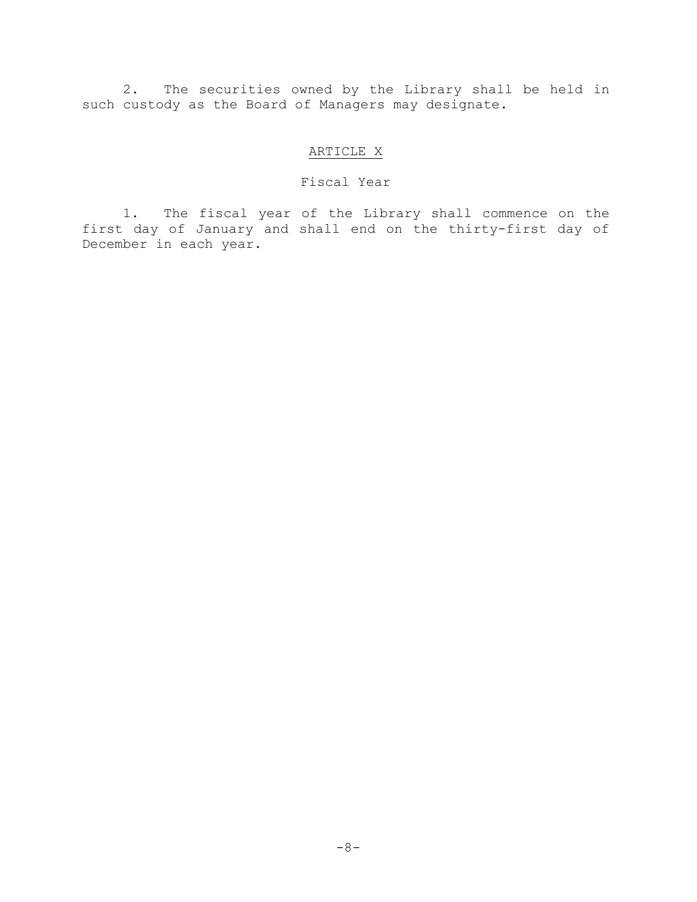2. The securities owned by the Library shall be held in such custody as the Board of Managers may designate.

# ARTICLE X

# Fiscal Year

1. The fiscal year of the Library shall commence on the first day of January and shall end on the thirty-first day of December in each year.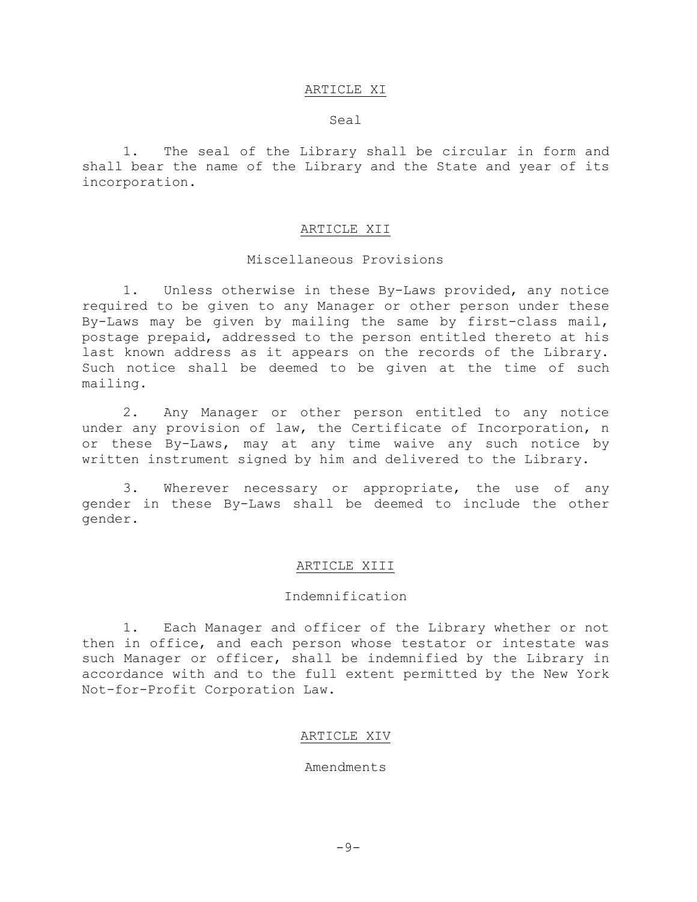#### ARTICLE XI

#### Seal

1. The seal of the Library shall be circular in form and shall bear the name of the Library and the State and year of its incorporation.

#### ARTICLE XII

## Miscellaneous Provisions

1. Unless otherwise in these By-Laws provided, any notice required to be given to any Manager or other person under these By-Laws may be given by mailing the same by first-class mail, postage prepaid, addressed to the person entitled thereto at his last known address as it appears on the records of the Library. Such notice shall be deemed to be given at the time of such mailing.

2. Any Manager or other person entitled to any notice under any provision of law, the Certificate of Incorporation, n or these By-Laws, may at any time waive any such notice by written instrument signed by him and delivered to the Library.

3. Wherever necessary or appropriate, the use of any gender in these By-Laws shall be deemed to include the other gender.

#### ARTICLE XIII

## Indemnification

1. Each Manager and officer of the Library whether or not then in office, and each person whose testator or intestate was such Manager or officer, shall be indemnified by the Library in accordance with and to the full extent permitted by the New York Not-for-Profit Corporation Law.

#### ARTICLE XIV

Amendments